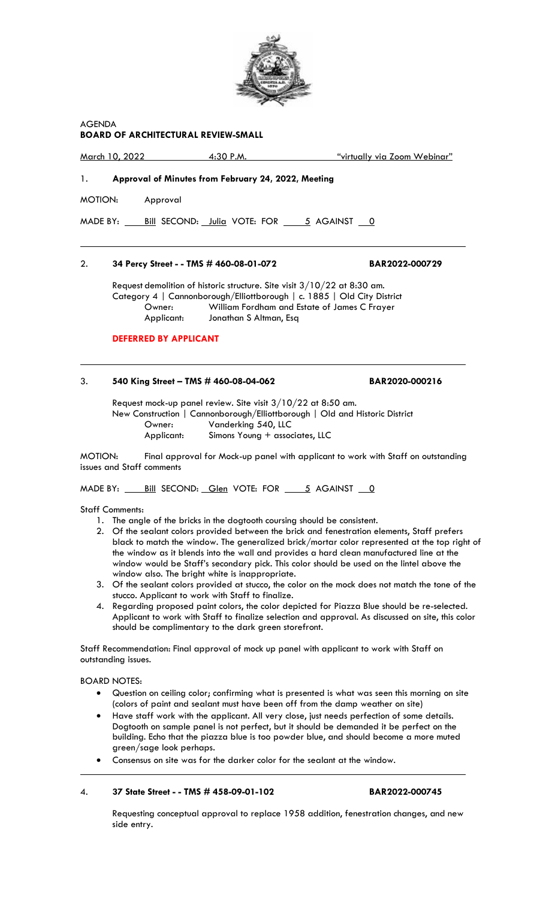

AGENDA

**BOARD OF ARCHITECTURAL REVIEW-SMALL**

March 10, 2022 4:30 P.M. "virtually via Zoom Webinar" 1. **Approval of Minutes from February 24, 2022, Meeting** MOTION: Approval MADE BY: Bill SECOND: Julia VOTE: FOR 5 AGAINST 0

## 2. **34 Percy Street - - TMS # 460-08-01-072 BAR2022-000729**

Request demolition of historic structure. Site visit  $3/10/22$  at 8:30 am. Category 4 | Cannonborough/Elliottborough | c. 1885 | Old City District Owner: William Fordham and Estate of James C Frayer Applicant: Jonathan S Altman, Esq

#### **DEFERRED BY APPLICANT**

## 3. **540 King Street – TMS # 460-08-04-062 BAR2020-000216**

Request mock-up panel review. Site visit 3/10/22 at 8:50 am. New Construction | Cannonborough/Elliottborough | Old and Historic District Owner: Vanderking 540, LLC<br>Applicant: Simons Young + assoc Simons Young + associates, LLC

MOTION: Final approval for Mock-up panel with applicant to work with Staff on outstanding issues and Staff comments

MADE BY: Bill SECOND: Glen VOTE: FOR 5 AGAINST 0

Staff Comments:

- 1. The angle of the bricks in the dogtooth coursing should be consistent.
- 2. Of the sealant colors provided between the brick and fenestration elements, Staff prefers black to match the window. The generalized brick/mortar color represented at the top right of the window as it blends into the wall and provides a hard clean manufactured line at the window would be Staff's secondary pick. This color should be used on the lintel above the window also. The bright white is inappropriate.
- 3. Of the sealant colors provided at stucco, the color on the mock does not match the tone of the stucco. Applicant to work with Staff to finalize.
- 4. Regarding proposed paint colors, the color depicted for Piazza Blue should be re-selected. Applicant to work with Staff to finalize selection and approval. As discussed on site, this color should be complimentary to the dark green storefront.

Staff Recommendation: Final approval of mock up panel with applicant to work with Staff on outstanding issues.

BOARD NOTES:

- Question on ceiling color; confirming what is presented is what was seen this morning on site (colors of paint and sealant must have been off from the damp weather on site)
- Have staff work with the applicant. All very close, just needs perfection of some details. Dogtooth on sample panel is not perfect, but it should be demanded it be perfect on the building. Echo that the piazza blue is too powder blue, and should become a more muted green/sage look perhaps.
- Consensus on site was for the darker color for the sealant at the window.

#### 4. **37 State Street - - TMS # 458-09-01-102 BAR2022-000745**

Requesting conceptual approval to replace 1958 addition, fenestration changes, and new side entry.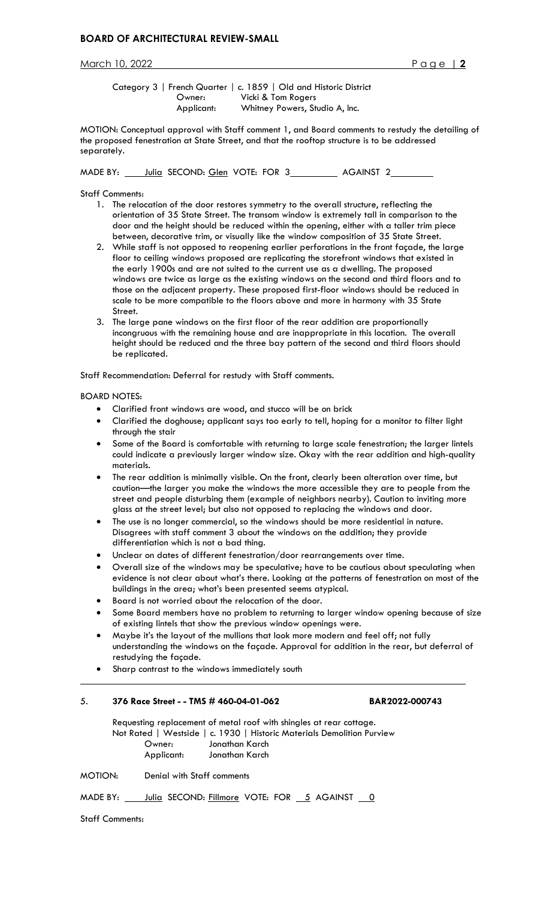March 10, 2022 Page | **2**

Category 3 | French Quarter | c. 1859 | Old and Historic District Owner: Vicki & Tom Rogers Applicant: Whitney Powers, Studio A, Inc.

MOTION: Conceptual approval with Staff comment 1, and Board comments to restudy the detailing of the proposed fenestration at State Street, and that the rooftop structure is to be addressed separately.

MADE BY: Julia SECOND: Glen VOTE: FOR 3 AGAINST 2

Staff Comments:

- 1. The relocation of the door restores symmetry to the overall structure, reflecting the orientation of 35 State Street. The transom window is extremely tall in comparison to the door and the height should be reduced within the opening, either with a taller trim piece between, decorative trim, or visually like the window composition of 35 State Street.
- 2. While staff is not opposed to reopening earlier perforations in the front façade, the large floor to ceiling windows proposed are replicating the storefront windows that existed in the early 1900s and are not suited to the current use as a dwelling. The proposed windows are twice as large as the existing windows on the second and third floors and to those on the adjacent property. These proposed first-floor windows should be reduced in scale to be more compatible to the floors above and more in harmony with 35 State Street.
- 3. The large pane windows on the first floor of the rear addition are proportionally incongruous with the remaining house and are inappropriate in this location. The overall height should be reduced and the three bay pattern of the second and third floors should be replicated.

Staff Recommendation: Deferral for restudy with Staff comments.

## BOARD NOTES:

- Clarified front windows are wood, and stucco will be on brick
- Clarified the doghouse; applicant says too early to tell, hoping for a monitor to filter light through the stair
- Some of the Board is comfortable with returning to large scale fenestration; the larger lintels could indicate a previously larger window size. Okay with the rear addition and high-quality materials.
- The rear addition is minimally visible. On the front, clearly been alteration over time, but caution—the larger you make the windows the more accessible they are to people from the street and people disturbing them (example of neighbors nearby). Caution to inviting more glass at the street level; but also not opposed to replacing the windows and door.
- The use is no longer commercial, so the windows should be more residential in nature. Disagrees with staff comment 3 about the windows on the addition; they provide differentiation which is not a bad thing.
- Unclear on dates of different fenestration/door rearrangements over time.
- Overall size of the windows may be speculative; have to be cautious about speculating when evidence is not clear about what's there. Looking at the patterns of fenestration on most of the buildings in the area; what's been presented seems atypical.
- Board is not worried about the relocation of the door.
- Some Board members have no problem to returning to larger window opening because of size of existing lintels that show the previous window openings were.
- Maybe it's the layout of the mullions that look more modern and feel off; not fully understanding the windows on the façade. Approval for addition in the rear, but deferral of restudying the façade.
- Sharp contrast to the windows immediately south

## 5. **376 Race Street - - TMS # 460-04-01-062 BAR2022-000743**

Requesting replacement of metal roof with shingles at rear cottage. Not Rated | Westside | c. 1930 | Historic Materials Demolition Purview Owner: Jonathan Karch Applicant: Jonathan Karch

MOTION: Denial with Staff comments

MADE BY: Julia SECOND: Fillmore VOTE: FOR 5 AGAINST 0

Staff Comments: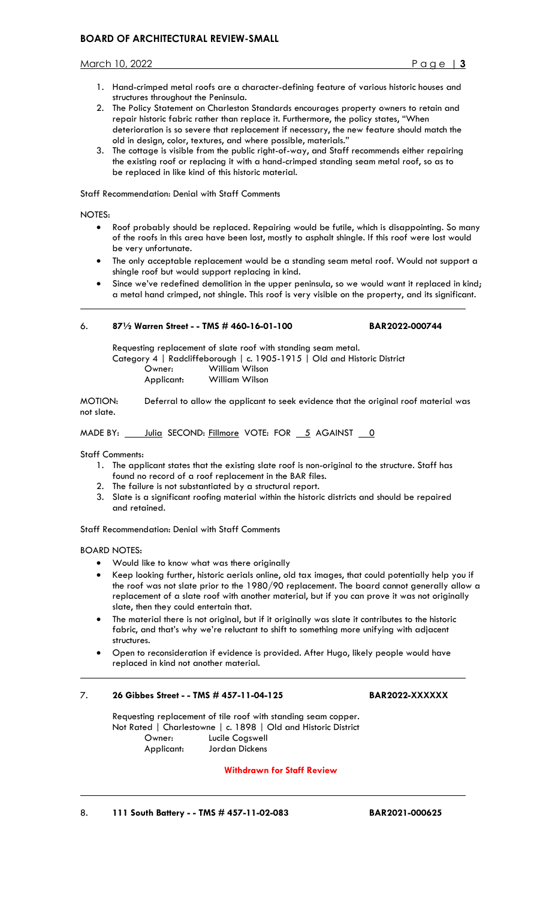March 10, 2022 Page | **3**

- 1. Hand-crimped metal roofs are a character-defining feature of various historic houses and structures throughout the Peninsula.
- 2. The Policy Statement on Charleston Standards encourages property owners to retain and repair historic fabric rather than replace it. Furthermore, the policy states, "When deterioration is so severe that replacement if necessary, the new feature should match the old in design, color, textures, and where possible, materials."
- 3. The cottage is visible from the public right-of-way, and Staff recommends either repairing the existing roof or replacing it with a hand-crimped standing seam metal roof, so as to be replaced in like kind of this historic material.

Staff Recommendation: Denial with Staff Comments

## NOTES:

- Roof probably should be replaced. Repairing would be futile, which is disappointing. So many of the roofs in this area have been lost, mostly to asphalt shingle. If this roof were lost would be very unfortunate.
- The only acceptable replacement would be a standing seam metal roof. Would not support a shingle roof but would support replacing in kind.
- Since we've redefined demolition in the upper peninsula, so we would want it replaced in kind; a metal hand crimped, not shingle. This roof is very visible on the property, and its significant.

## 6. **87½ Warren Street - - TMS # 460-16-01-100 BAR2022-000744**

Requesting replacement of slate roof with standing seam metal.

- Category 4 | Radcliffeborough | c. 1905-1915 | Old and Historic District Owner: William Wilson
	- Applicant: William Wilson

MOTION: Deferral to allow the applicant to seek evidence that the original roof material was not slate.

MADE BY: Julia SECOND: Fillmore VOTE: FOR 5 AGAINST 0

Staff Comments:

- 1. The applicant states that the existing slate roof is non-original to the structure. Staff has found no record of a roof replacement in the BAR files.
- 2. The failure is not substantiated by a structural report.
- 3. Slate is a significant roofing material within the historic districts and should be repaired and retained.

Staff Recommendation: Denial with Staff Comments

BOARD NOTES:

- Would like to know what was there originally
- Keep looking further, historic aerials online, old tax images, that could potentially help you if the roof was not slate prior to the 1980/90 replacement. The board cannot generally allow a replacement of a slate roof with another material, but if you can prove it was not originally slate, then they could entertain that.
- The material there is not original, but if it originally was slate it contributes to the historic fabric, and that's why we're reluctant to shift to something more unifying with adjacent structures.
- Open to reconsideration if evidence is provided. After Hugo, likely people would have replaced in kind not another material.

## 7. **26 Gibbes Street - - TMS # 457-11-04-125 BAR2022-XXXXXX**

Requesting replacement of tile roof with standing seam copper. Not Rated | Charlestowne | c. 1898 | Old and Historic District Owner: Lucile Cogswell Applicant: Jordan Dickens

## **Withdrawn for Staff Review**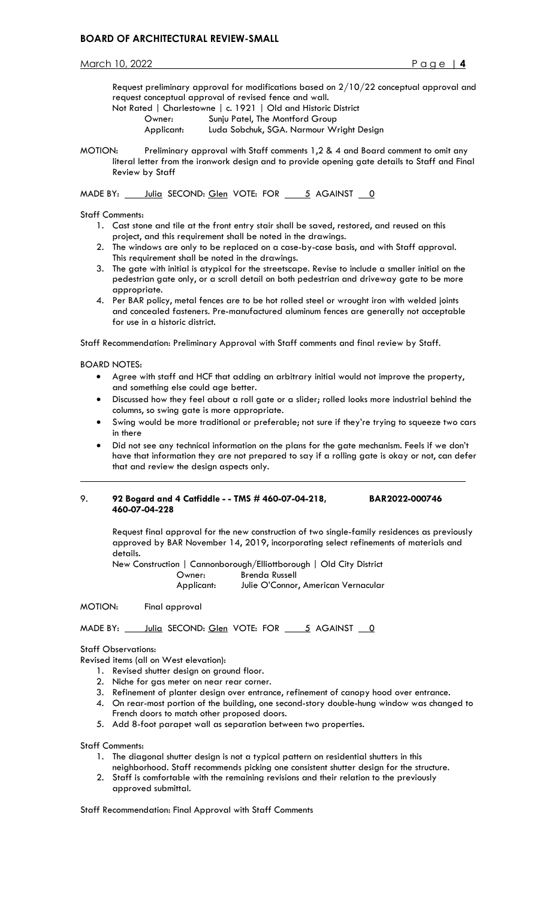March 10, 2022 Page | **4**

Request preliminary approval for modifications based on 2/10/22 conceptual approval and request conceptual approval of revised fence and wall. Not Rated | Charlestowne | c. 1921 | Old and Historic District Owner: Sunju Patel, The Montford Group Applicant: Luda Sobchuk, SGA. Narmour Wright Design

MOTION: Preliminary approval with Staff comments 1,2 & 4 and Board comment to omit any literal letter from the ironwork design and to provide opening gate details to Staff and Final Review by Staff

MADE BY: Julia SECOND: Glen VOTE: FOR 5 AGAINST 0

Staff Comments:

- 1. Cast stone and tile at the front entry stair shall be saved, restored, and reused on this project, and this requirement shall be noted in the drawings.
- 2. The windows are only to be replaced on a case-by-case basis, and with Staff approval. This requirement shall be noted in the drawings.
- 3. The gate with initial is atypical for the streetscape. Revise to include a smaller initial on the pedestrian gate only, or a scroll detail on both pedestrian and driveway gate to be more appropriate.
- 4. Per BAR policy, metal fences are to be hot rolled steel or wrought iron with welded joints and concealed fasteners. Pre-manufactured aluminum fences are generally not acceptable for use in a historic district.

Staff Recommendation: Preliminary Approval with Staff comments and final review by Staff.

BOARD NOTES:

- Agree with staff and HCF that adding an arbitrary initial would not improve the property, and something else could age better.
- Discussed how they feel about a roll gate or a slider; rolled looks more industrial behind the columns, so swing gate is more appropriate.
- Swing would be more traditional or preferable; not sure if they're trying to squeeze two cars in there
- Did not see any technical information on the plans for the gate mechanism. Feels if we don't have that information they are not prepared to say if a rolling gate is okay or not, can defer that and review the design aspects only.

#### 9. **92 Bogard and 4 Catfiddle - - TMS # 460-07-04-218, BAR2022-000746 460-07-04-228**

Request final approval for the new construction of two single-family residences as previously approved by BAR November 14, 2019, incorporating select refinements of materials and details.

New Construction | Cannonborough/Elliottborough | Old City District Owner: Brenda Russell Applicant: Julie O'Connor, American Vernacular

MOTION: Final approval

MADE BY: Julia SECOND: Glen VOTE: FOR 36 AGAINST 0

## Staff Observations:

Revised items (all on West elevation):

- 1. Revised shutter design on ground floor.
- 2. Niche for gas meter on near rear corner.
- 3. Refinement of planter design over entrance, refinement of canopy hood over entrance.

4. On rear-most portion of the building, one second-story double-hung window was changed to French doors to match other proposed doors.

5. Add 8-foot parapet wall as separation between two properties.

Staff Comments:

- 1. The diagonal shutter design is not a typical pattern on residential shutters in this neighborhood. Staff recommends picking one consistent shutter design for the structure.
- 2. Staff is comfortable with the remaining revisions and their relation to the previously approved submittal.

Staff Recommendation: Final Approval with Staff Comments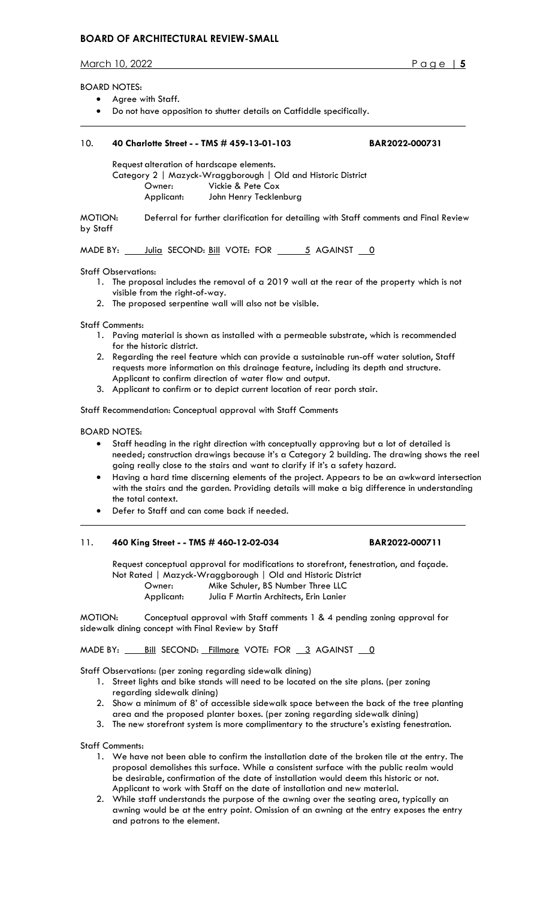March 10, 2022 Page | **5**

#### BOARD NOTES:

- Agree with Staff.
- Do not have opposition to shutter details on Catfiddle specifically.

## 10. **40 Charlotte Street - - TMS # 459-13-01-103 BAR2022-000731**

Request alteration of hardscape elements.

Category 2 | Mazyck-Wraggborough | Old and Historic District Owner: Vickie & Pete Cox Applicant: John Henry Tecklenburg

MOTION: Deferral for further clarification for detailing with Staff comments and Final Review by Staff

MADE BY:  $\frac{\text{Julia}}{\text{SECOND:}}$   $\frac{\text{Bill}}{\text{OTE:}}$  FOR  $\frac{5}{10}$  AGAINST  $\frac{0}{10}$ 

Staff Observations:

- 1. The proposal includes the removal of a 2019 wall at the rear of the property which is not visible from the right-of-way.
- 2. The proposed serpentine wall will also not be visible.

Staff Comments:

- 1. Paving material is shown as installed with a permeable substrate, which is recommended for the historic district.
- 2. Regarding the reel feature which can provide a sustainable run-off water solution, Staff requests more information on this drainage feature, including its depth and structure. Applicant to confirm direction of water flow and output.
- 3. Applicant to confirm or to depict current location of rear porch stair.

Staff Recommendation: Conceptual approval with Staff Comments

BOARD NOTES:

- Staff heading in the right direction with conceptually approving but a lot of detailed is needed; construction drawings because it's a Category 2 building. The drawing shows the reel going really close to the stairs and want to clarify if it's a safety hazard.
- Having a hard time discerning elements of the project. Appears to be an awkward intersection with the stairs and the garden. Providing details will make a big difference in understanding the total context.
- Defer to Staff and can come back if needed.

## 11. **460 King Street - - TMS # 460-12-02-034 BAR2022-000711**

Request conceptual approval for modifications to storefront, fenestration, and façade. Not Rated | Mazyck-Wraggborough | Old and Historic District Owner: Mike Schuler, BS Number Three LLC Applicant: Julia F Martin Architects, Erin Lanier

MOTION: Conceptual approval with Staff comments 1 & 4 pending zoning approval for sidewalk dining concept with Final Review by Staff

MADE BY: **Bill SECOND:** Fillmore VOTE: FOR 3 AGAINST 0

Staff Observations: (per zoning regarding sidewalk dining)

- 1. Street lights and bike stands will need to be located on the site plans. (per zoning regarding sidewalk dining)
- 2. Show a minimum of 8' of accessible sidewalk space between the back of the tree planting area and the proposed planter boxes. (per zoning regarding sidewalk dining)
- 3. The new storefront system is more complimentary to the structure's existing fenestration.

Staff Comments:

- 1. We have not been able to confirm the installation date of the broken tile at the entry. The proposal demolishes this surface. While a consistent surface with the public realm would be desirable, confirmation of the date of installation would deem this historic or not. Applicant to work with Staff on the date of installation and new material.
- 2. While staff understands the purpose of the awning over the seating area, typically an awning would be at the entry point. Omission of an awning at the entry exposes the entry and patrons to the element.